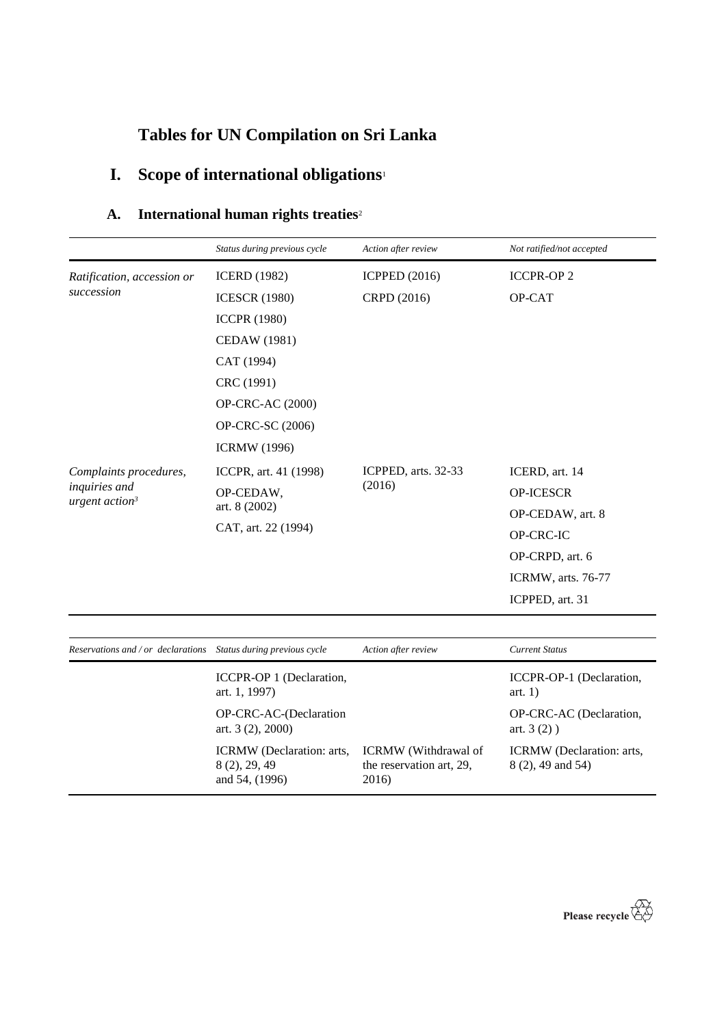# **Tables for UN Compilation on Sri Lanka**

# **I. Scope of international obligations**<sup>1</sup>

## **A. International human rights treaties**<sup>2</sup>

|                                   | Status during previous cycle                      | Action after review           | Not ratified/not accepted |
|-----------------------------------|---------------------------------------------------|-------------------------------|---------------------------|
| Ratification, accession or        | <b>ICERD</b> (1982)                               | <b>ICPPED</b> (2016)          | <b>ICCPR-OP2</b>          |
| succession                        | <b>ICESCR (1980)</b>                              | CRPD (2016)                   | OP-CAT                    |
|                                   | <b>ICCPR (1980)</b>                               |                               |                           |
|                                   | <b>CEDAW</b> (1981)                               |                               |                           |
|                                   | CAT (1994)                                        |                               |                           |
|                                   | CRC (1991)                                        |                               |                           |
|                                   | <b>OP-CRC-AC (2000)</b>                           |                               |                           |
|                                   | OP-CRC-SC (2006)                                  |                               |                           |
|                                   | <b>ICRMW</b> (1996)                               |                               |                           |
| Complaints procedures,            | ICCPR, art. 41 (1998)                             | ICPPED, arts. 32-33<br>(2016) | ICERD, art. 14            |
| inquiries and<br>urgent $action3$ | OP-CEDAW,<br>art. 8 (2002)<br>CAT, art. 22 (1994) |                               | <b>OP-ICESCR</b>          |
|                                   |                                                   |                               | OP-CEDAW, art. 8          |
|                                   |                                                   |                               | OP-CRC-IC                 |
|                                   |                                                   |                               | OP-CRPD, art. 6           |
|                                   |                                                   |                               | ICRMW, arts. 76-77        |
|                                   |                                                   |                               | ICPPED, art. 31           |
|                                   |                                                   |                               |                           |

| Reservations and / or declarations Status during previous cycle |                                                              | Action after review                                              | <b>Current Status</b>                          |
|-----------------------------------------------------------------|--------------------------------------------------------------|------------------------------------------------------------------|------------------------------------------------|
|                                                                 | ICCPR-OP 1 (Declaration,<br>art. 1, 1997)                    |                                                                  | ICCPR-OP-1 (Declaration,<br>art. $1)$          |
|                                                                 | OP-CRC-AC-(Declaration<br>art. $3(2)$ , $2000$ )             |                                                                  | OP-CRC-AC (Declaration,<br>art. $3(2)$ )       |
|                                                                 | ICRMW (Declaration: arts,<br>8 (2), 29, 49<br>and 54, (1996) | <b>ICRMW</b> (Withdrawal of<br>the reservation art, 29,<br>2016) | ICRMW (Declaration: arts,<br>8 (2), 49 and 54) |

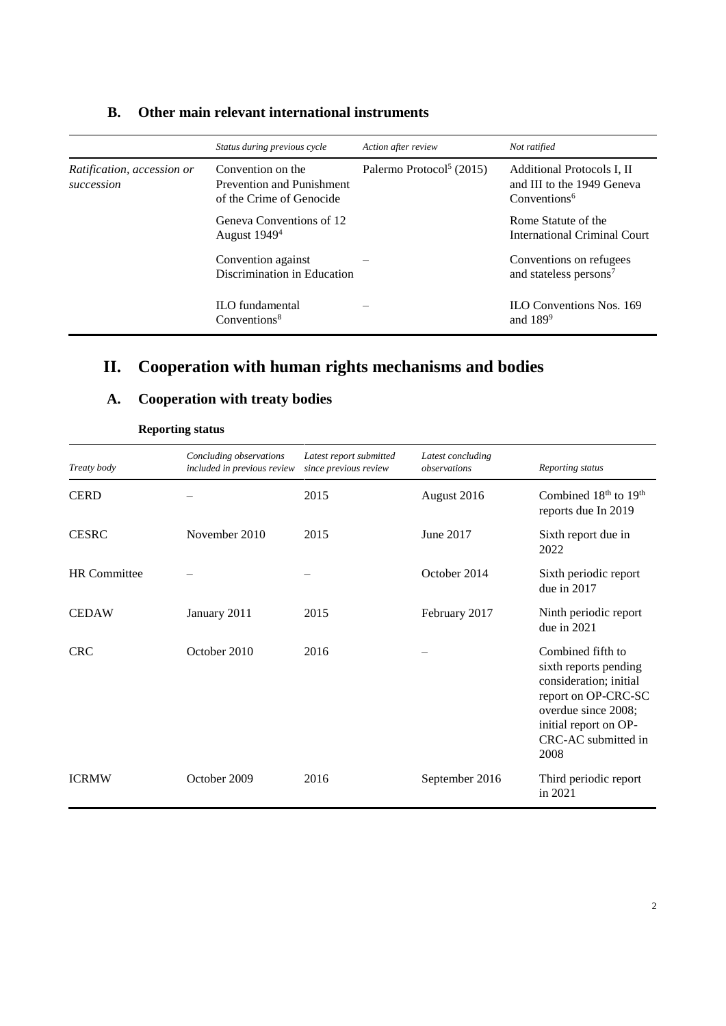|                                                                                                                        | Status during previous cycle                      | Action after review                  | Not ratified                                                                         |
|------------------------------------------------------------------------------------------------------------------------|---------------------------------------------------|--------------------------------------|--------------------------------------------------------------------------------------|
| Convention on the<br>Ratification, accession or<br>Prevention and Punishment<br>succession<br>of the Crime of Genocide |                                                   | Palermo Protocol <sup>5</sup> (2015) | Additional Protocols I, II<br>and III to the 1949 Geneva<br>Conventions <sup>6</sup> |
|                                                                                                                        | Geneva Conventions of 12<br>August $19494$        |                                      | Rome Statute of the<br>International Criminal Court                                  |
|                                                                                                                        | Convention against<br>Discrimination in Education |                                      | Conventions on refugees<br>and stateless persons <sup>7</sup>                        |
|                                                                                                                        | <b>ILO</b> fundamental<br>Conventions $8$         |                                      | <b>ILO Conventions Nos. 169</b><br>and $189^9$                                       |

### **B. Other main relevant international instruments**

## **II. Cooperation with human rights mechanisms and bodies**

## **A. Cooperation with treaty bodies**

| Treaty body         | Concluding observations<br>included in previous review | Latest report submitted<br>since previous review | Latest concluding<br>observations | Reporting status                                                                                                                                                           |
|---------------------|--------------------------------------------------------|--------------------------------------------------|-----------------------------------|----------------------------------------------------------------------------------------------------------------------------------------------------------------------------|
| <b>CERD</b>         |                                                        | 2015                                             | August 2016                       | Combined 18th to 19th<br>reports due In 2019                                                                                                                               |
| <b>CESRC</b>        | November 2010                                          | 2015                                             | June 2017                         | Sixth report due in<br>2022                                                                                                                                                |
| <b>HR</b> Committee |                                                        |                                                  | October 2014                      | Sixth periodic report<br>due in 2017                                                                                                                                       |
| <b>CEDAW</b>        | January 2011                                           | 2015                                             | February 2017                     | Ninth periodic report<br>due in 2021                                                                                                                                       |
| <b>CRC</b>          | October 2010                                           | 2016                                             |                                   | Combined fifth to<br>sixth reports pending<br>consideration; initial<br>report on OP-CRC-SC<br>overdue since 2008;<br>initial report on OP-<br>CRC-AC submitted in<br>2008 |
| <b>ICRMW</b>        | October 2009                                           | 2016                                             | September 2016                    | Third periodic report<br>in 2021                                                                                                                                           |

**Reporting status**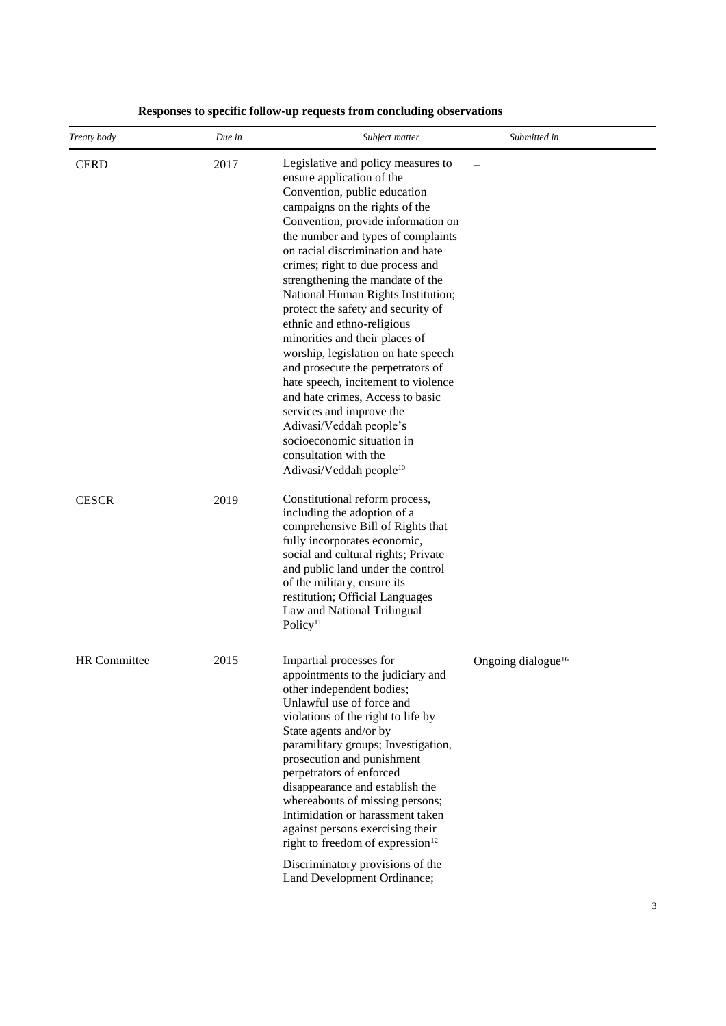| Treaty body         | Due in | Subject matter                                                                                                                                                                                                                                                                                                                                                                                                                                                                                                                                                                                                                                                                                                                                                                     | Submitted in                   |
|---------------------|--------|------------------------------------------------------------------------------------------------------------------------------------------------------------------------------------------------------------------------------------------------------------------------------------------------------------------------------------------------------------------------------------------------------------------------------------------------------------------------------------------------------------------------------------------------------------------------------------------------------------------------------------------------------------------------------------------------------------------------------------------------------------------------------------|--------------------------------|
| <b>CERD</b>         | 2017   | Legislative and policy measures to<br>ensure application of the<br>Convention, public education<br>campaigns on the rights of the<br>Convention, provide information on<br>the number and types of complaints<br>on racial discrimination and hate<br>crimes; right to due process and<br>strengthening the mandate of the<br>National Human Rights Institution;<br>protect the safety and security of<br>ethnic and ethno-religious<br>minorities and their places of<br>worship, legislation on hate speech<br>and prosecute the perpetrators of<br>hate speech, incitement to violence<br>and hate crimes, Access to basic<br>services and improve the<br>Adivasi/Veddah people's<br>socioeconomic situation in<br>consultation with the<br>Adivasi/Veddah people <sup>10</sup> |                                |
| <b>CESCR</b>        | 2019   | Constitutional reform process,<br>including the adoption of a<br>comprehensive Bill of Rights that<br>fully incorporates economic,<br>social and cultural rights; Private<br>and public land under the control<br>of the military, ensure its<br>restitution; Official Languages<br>Law and National Trilingual<br>Policy <sup>11</sup>                                                                                                                                                                                                                                                                                                                                                                                                                                            |                                |
| <b>HR</b> Committee | 2015   | Impartial processes for<br>appointments to the judiciary and<br>other independent bodies;<br>Unlawful use of force and<br>violations of the right to life by<br>State agents and/or by<br>paramilitary groups; Investigation,<br>prosecution and punishment<br>perpetrators of enforced<br>disappearance and establish the<br>whereabouts of missing persons;<br>Intimidation or harassment taken<br>against persons exercising their<br>right to freedom of expression <sup>12</sup><br>Discriminatory provisions of the<br>Land Development Ordinance;                                                                                                                                                                                                                           | Ongoing dialogue <sup>16</sup> |

#### **Responses to specific follow-up requests from concluding observations**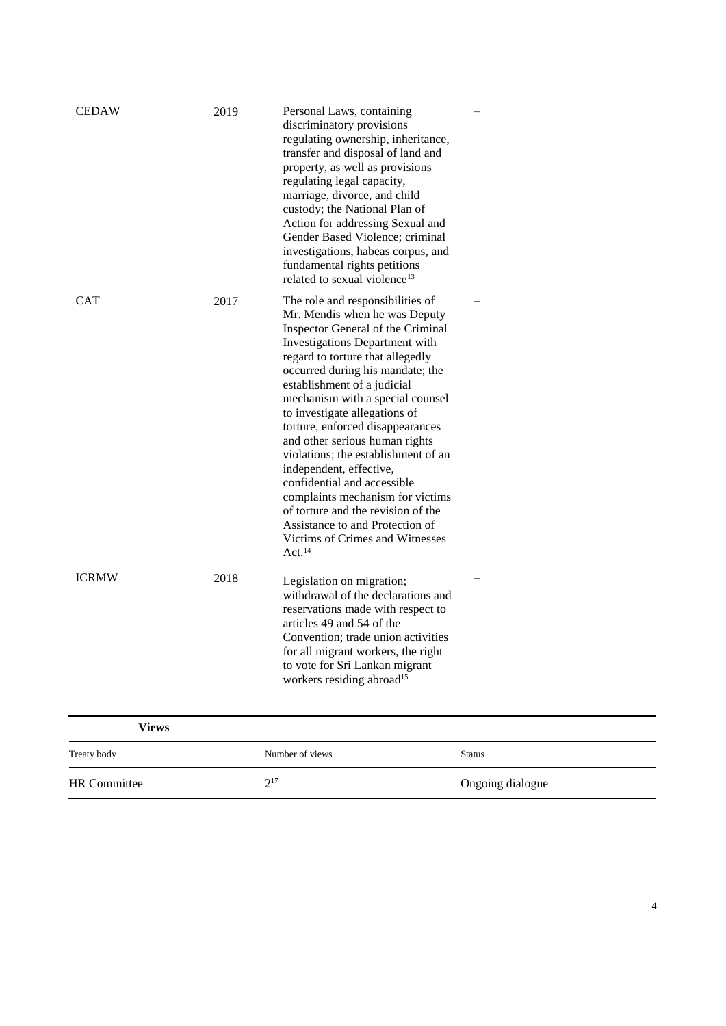| Views               |                 |                  |
|---------------------|-----------------|------------------|
| Treaty body         | Number of views | <b>Status</b>    |
| <b>HR</b> Committee | $2^{17}$        | Ongoing dialogue |
|                     |                 |                  |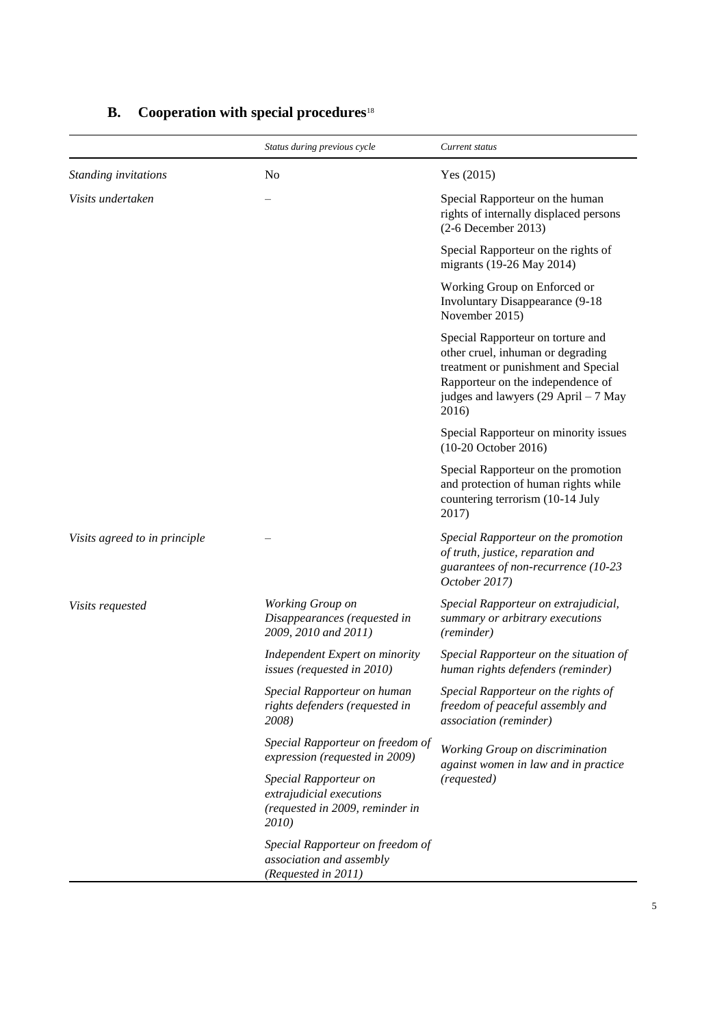|                               | Status during previous cycle                                                                  | Current status                                                                                                                                                                                      |
|-------------------------------|-----------------------------------------------------------------------------------------------|-----------------------------------------------------------------------------------------------------------------------------------------------------------------------------------------------------|
| Standing invitations          | N <sub>0</sub>                                                                                | Yes $(2015)$                                                                                                                                                                                        |
| Visits undertaken             |                                                                                               | Special Rapporteur on the human<br>rights of internally displaced persons<br>$(2-6$ December 2013)                                                                                                  |
|                               |                                                                                               | Special Rapporteur on the rights of<br>migrants (19-26 May 2014)                                                                                                                                    |
|                               |                                                                                               | Working Group on Enforced or<br><b>Involuntary Disappearance (9-18)</b><br>November 2015)                                                                                                           |
|                               |                                                                                               | Special Rapporteur on torture and<br>other cruel, inhuman or degrading<br>treatment or punishment and Special<br>Rapporteur on the independence of<br>judges and lawyers (29 April – 7 May<br>2016) |
|                               |                                                                                               | Special Rapporteur on minority issues<br>(10-20 October 2016)                                                                                                                                       |
|                               |                                                                                               | Special Rapporteur on the promotion<br>and protection of human rights while<br>countering terrorism (10-14 July<br>2017)                                                                            |
| Visits agreed to in principle |                                                                                               | Special Rapporteur on the promotion<br>of truth, justice, reparation and<br>guarantees of non-recurrence (10-23<br>October 2017)                                                                    |
| Visits requested              | Working Group on<br>Disappearances (requested in<br>2009, 2010 and 2011)                      | Special Rapporteur on extrajudicial,<br>summary or arbitrary executions<br>(reminder)                                                                                                               |
|                               | Independent Expert on minority<br>issues (requested in 2010)                                  | Special Rapporteur on the situation of<br>human rights defenders (reminder)                                                                                                                         |
|                               | Special Rapporteur on human<br>rights defenders (requested in<br>2008)                        | Special Rapporteur on the rights of<br>freedom of peaceful assembly and<br>association (reminder)                                                                                                   |
|                               | Special Rapporteur on freedom of<br>expression (requested in 2009)                            | Working Group on discrimination<br>against women in law and in practice                                                                                                                             |
|                               | Special Rapporteur on<br>extrajudicial executions<br>(requested in 2009, reminder in<br>2010) | (requested)                                                                                                                                                                                         |
|                               | Special Rapporteur on freedom of<br>association and assembly<br>(Requested in 2011)           |                                                                                                                                                                                                     |

## **B. Cooperation with special procedures**<sup>18</sup>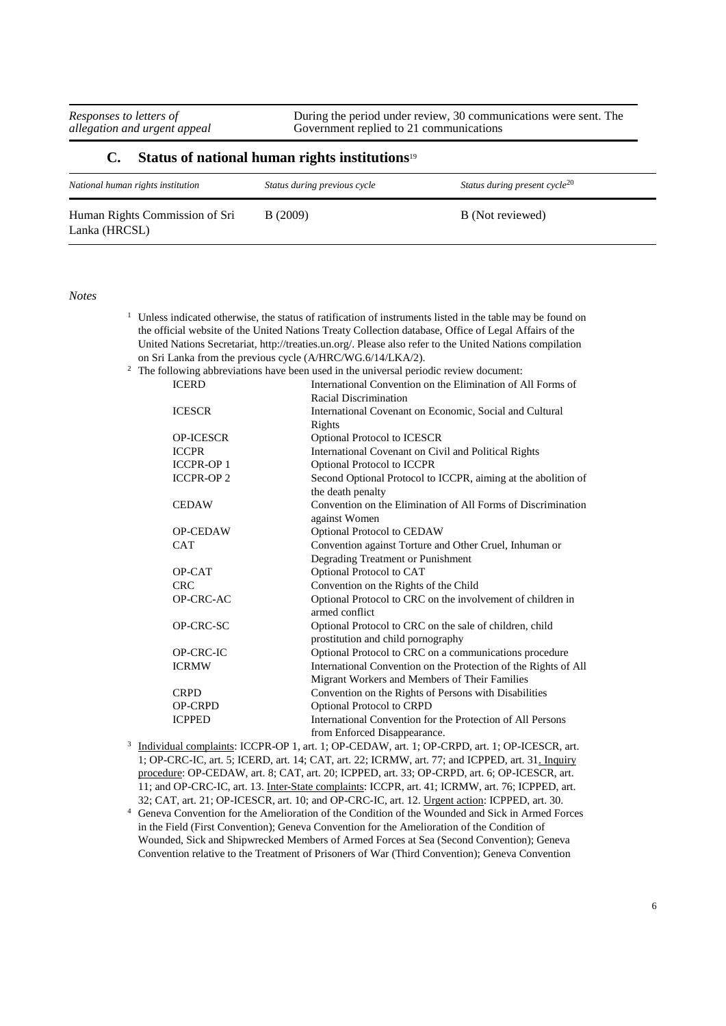During the period under review, 30 communications were sent. The Government replied to 21 communications

#### **C. Status of national human rights institutions**<sup>19</sup>

| National human rights institution               | Status during previous cycle | Status during present cycle <sup>20</sup> |
|-------------------------------------------------|------------------------------|-------------------------------------------|
| Human Rights Commission of Sri<br>Lanka (HRCSL) | B(2009)                      | B (Not reviewed)                          |

*Notes*

- $1$  Unless indicated otherwise, the status of ratification of instruments listed in the table may be found on the official website of the United Nations Treaty Collection database, Office of Legal Affairs of the United Nations Secretariat, http://treaties.un.org/. Please also refer to the United Nations compilation on Sri Lanka from the previous cycle (A/HRC/WG.6/14/LKA/2).
- <sup>2</sup> The following abbreviations have been used in the universal periodic review document:

| <b>ICERD</b>     | International Convention on the Elimination of All Forms of     |
|------------------|-----------------------------------------------------------------|
|                  | Racial Discrimination                                           |
| <b>ICESCR</b>    | International Covenant on Economic, Social and Cultural         |
|                  | Rights                                                          |
| <b>OP-ICESCR</b> | <b>Optional Protocol to ICESCR</b>                              |
| <b>ICCPR</b>     | International Covenant on Civil and Political Rights            |
| <b>ICCPR-OP1</b> | <b>Optional Protocol to ICCPR</b>                               |
| <b>ICCPR-OP2</b> | Second Optional Protocol to ICCPR, aiming at the abolition of   |
|                  | the death penalty                                               |
| <b>CEDAW</b>     | Convention on the Elimination of All Forms of Discrimination    |
|                  | against Women                                                   |
| <b>OP-CEDAW</b>  | Optional Protocol to CEDAW                                      |
| <b>CAT</b>       | Convention against Torture and Other Cruel, Inhuman or          |
|                  | Degrading Treatment or Punishment                               |
| OP-CAT           | Optional Protocol to CAT                                        |
| <b>CRC</b>       | Convention on the Rights of the Child                           |
| OP-CRC-AC        | Optional Protocol to CRC on the involvement of children in      |
|                  | armed conflict                                                  |
| OP-CRC-SC        | Optional Protocol to CRC on the sale of children, child         |
|                  | prostitution and child pornography                              |
| OP-CRC-IC        | Optional Protocol to CRC on a communications procedure          |
| <b>ICRMW</b>     | International Convention on the Protection of the Rights of All |
|                  | Migrant Workers and Members of Their Families                   |
| <b>CRPD</b>      | Convention on the Rights of Persons with Disabilities           |
| <b>OP-CRPD</b>   | <b>Optional Protocol to CRPD</b>                                |
| <b>ICPPED</b>    | International Convention for the Protection of All Persons      |
|                  | from Enforced Disappearance.                                    |

- <sup>3</sup> Individual complaints: ICCPR-OP 1, art. 1; OP-CEDAW, art. 1; OP-CRPD, art. 1; OP-ICESCR, art. 1; OP-CRC-IC, art. 5; ICERD, art. 14; CAT, art. 22; ICRMW, art. 77; and ICPPED, art. 31. Inquiry procedure: OP-CEDAW, art. 8; CAT, art. 20; ICPPED, art. 33; OP-CRPD, art. 6; OP-ICESCR, art. 11; and OP-CRC-IC, art. 13. Inter-State complaints: ICCPR, art. 41; ICRMW, art. 76; ICPPED, art. 32; CAT, art. 21; OP-ICESCR, art. 10; and OP-CRC-IC, art. 12. Urgent action: ICPPED, art. 30.
- <sup>4</sup> Geneva Convention for the Amelioration of the Condition of the Wounded and Sick in Armed Forces in the Field (First Convention); Geneva Convention for the Amelioration of the Condition of Wounded, Sick and Shipwrecked Members of Armed Forces at Sea (Second Convention); Geneva Convention relative to the Treatment of Prisoners of War (Third Convention); Geneva Convention